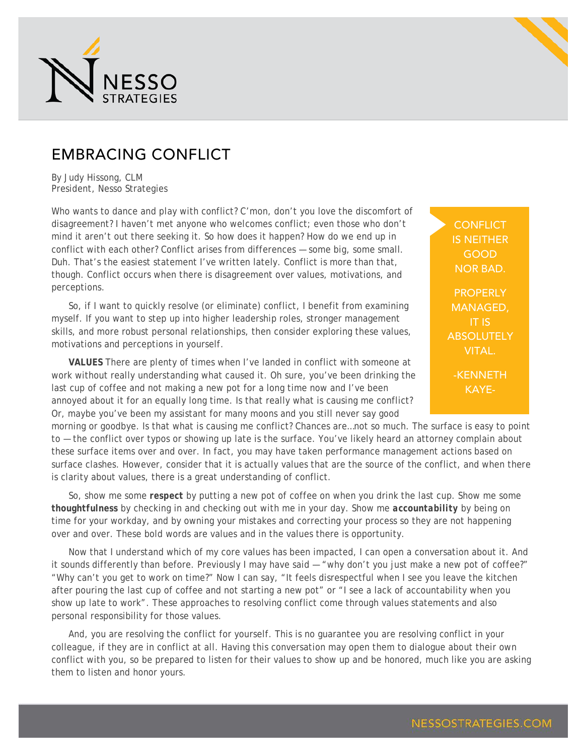

## EMBRACING CONFLICT

By Judy Hissong, CLM President, Nesso Strategies

Who wants to dance and play with conflict? C'mon, don't you love the discomfort of disagreement? I haven't met anyone who welcomes conflict; even those who don't mind it aren't out there seeking it. So how does it happen? How do we end up in conflict with each other? Conflict arises from differences — some big, some small. Duh. That's the easiest statement I've written lately. Conflict is more than that, though. Conflict occurs when there is disagreement over values, motivations, and perceptions.

So, if I want to quickly resolve (or eliminate) conflict, I benefit from examining myself. If you want to step up into higher leadership roles, stronger management skills, and more robust personal relationships, then consider exploring these values, motivations and perceptions in yourself.

**VALUES** There are plenty of times when I've landed in conflict with someone at work without really understanding what caused it. Oh sure, you've been drinking the last cup of coffee and not making a new pot for a long time now and I've been annoyed about it for an equally long time. Is that really what is causing me conflict? Or, maybe you've been my assistant for many moons and you still never say good

morning or goodbye. Is that what is causing me conflict? Chances are…not so much. The surface is easy to point to — the conflict over typos or showing up late is the surface. You've likely heard an attorney complain about these surface items over and over. In fact, you may have taken performance management actions based on surface clashes. However, consider that it is actually values that are the source of the conflict, and when there is clarity about values, there is a great understanding of conflict.

So, show me some *respect* by putting a new pot of coffee on when you drink the last cup. Show me some *thoughtfulness* by checking in and checking out with me in your day. Show me *accountability* by being on time for your workday, and by owning your mistakes and correcting your process so they are not happening over and over. These bold words are values and in the values there is opportunity.

Now that I understand which of my core values has been impacted, I can open a conversation about it. And it sounds differently than before. Previously I may have said — "why don't you just make a new pot of coffee?" "Why can't you get to work on time?" Now I can say, "It feels disrespectful when I see you leave the kitchen after pouring the last cup of coffee and not starting a new pot" or "I see a lack of accountability when you show up late to work". These approaches to resolving conflict come through values statements and also personal responsibility for those values.

And, you are resolving the conflict for yourself. This is no guarantee you are resolving conflict in your colleague, if they are in conflict at all. Having this conversation may open them to dialogue about their own conflict with you, so be prepared to listen for their values to show up and be honored, much like you are asking them to listen and honor yours.

**CONFLICT** IS NEITHER GOOD NOR BAD. **PROPERLY** MANAGED, IT IS **ABSOLUTELY** 

VITAL.

-KENNETH KAYE-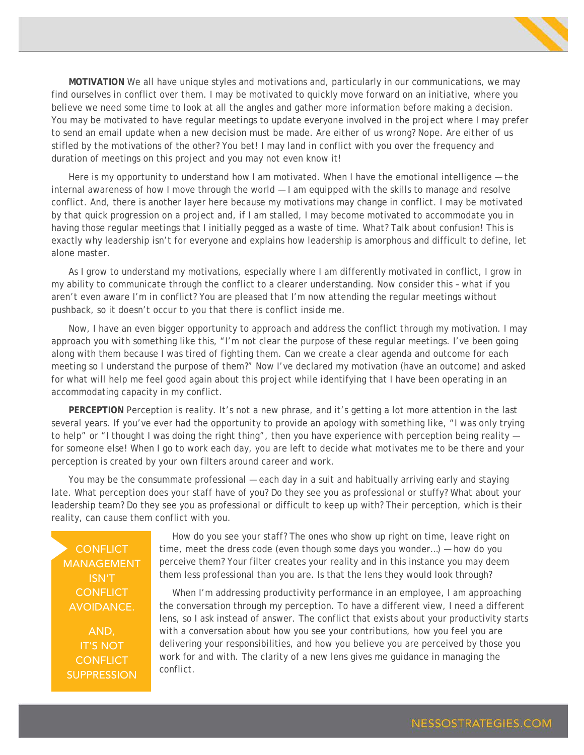

**MOTIVATION** We all have unique styles and motivations and, particularly in our communications, we may find ourselves in conflict over them. I may be motivated to quickly move forward on an initiative, where you believe we need some time to look at all the angles and gather more information before making a decision. You may be motivated to have regular meetings to update everyone involved in the project where I may prefer to send an email update when a new decision must be made. Are either of us wrong? Nope. Are either of us stifled by the motivations of the other? You bet! I may land in conflict with you over the frequency and duration of meetings on this project and you may not even know it!

Here is my opportunity to understand how I am motivated. When I have the emotional intelligence - the internal awareness of how I move through the world — I am equipped with the skills to manage and resolve conflict. And, there is another layer here because my motivations may change in conflict. I may be motivated by that quick progression on a project and, if I am stalled, I may become motivated to accommodate you in having those regular meetings that I initially pegged as a waste of time. What? Talk about confusion! This is exactly why leadership isn't for everyone and explains how leadership is amorphous and difficult to define, let alone master.

As I grow to understand my motivations, especially where I am differently motivated in conflict, I grow in my ability to communicate through the conflict to a clearer understanding. Now consider this – what if you aren't even aware I'm in conflict? You are pleased that I'm now attending the regular meetings without pushback, so it doesn't occur to you that there is conflict inside me.

Now, I have an even bigger opportunity to approach and address the conflict through my motivation. I may approach you with something like this, "I'm not clear the purpose of these regular meetings. I've been going along with them because I was tired of fighting them. Can we create a clear agenda and outcome for each meeting so I understand the purpose of them?" Now I've declared my motivation (have an outcome) and asked for what will help me feel good again about this project while identifying that I have been operating in an accommodating capacity in my conflict.

**PERCEPTION** Perception is reality. It's not a new phrase, and it's getting a lot more attention in the last several years. If you've ever had the opportunity to provide an apology with something like, "I was only trying to help" or "I thought I was doing the right thing", then you have experience with perception being reality for someone else! When I go to work each day, you are left to decide what motivates me to be there and your perception is created by your own filters around career and work.

You may be the consummate professional — each day in a suit and habitually arriving early and staying late. What perception does your staff have of you? Do they see you as professional or stuffy? What about your leadership team? Do they see you as professional or difficult to keep up with? Their perception, which is their reality, can cause them conflict with you.

**CONFLICT** MANAGEMENT ISN'T **CONFLICT** AVOIDANCE.

AND, IT'S NOT **CONFLICT SUPPRESSION** 

How do you see your staff? The ones who show up right on time, leave right on time, meet the dress code (even though some days you wonder…) — how do you perceive them? Your filter creates your reality and in this instance you may deem them less professional than you are. Is that the lens they would look through?

When I'm addressing productivity performance in an employee, I am approaching the conversation through my perception. To have a different view, I need a different lens, so I ask instead of answer. The conflict that exists about your productivity starts with a conversation about how you see your contributions, how you feel you are delivering your responsibilities, and how you believe you are perceived by those you work for and with. The clarity of a new lens gives me guidance in managing the conflict.